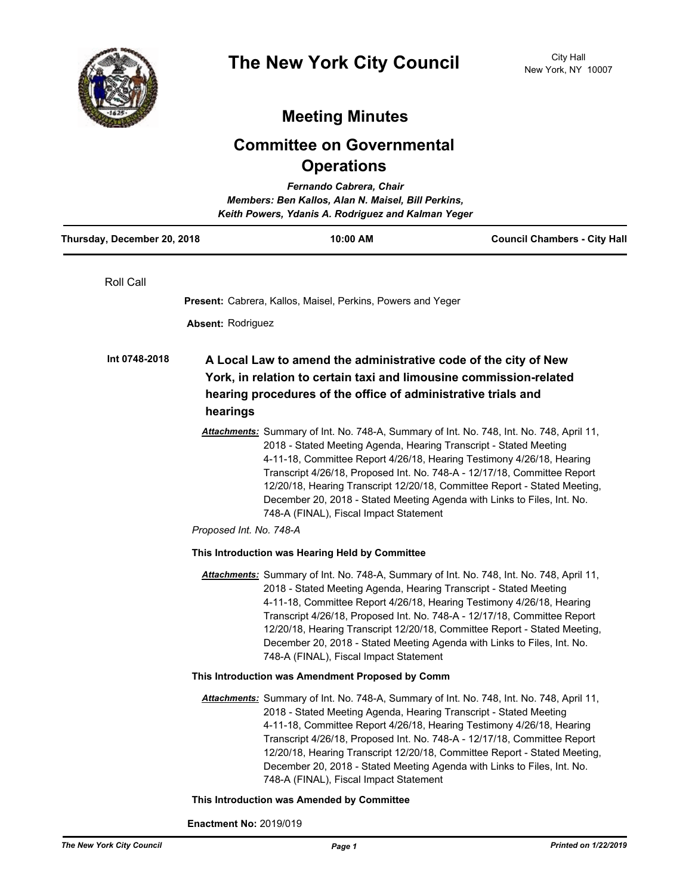

## **Meeting Minutes**

## **Committee on Governmental Operations**

| Fernando Cabrera, Chair<br>Members: Ben Kallos, Alan N. Maisel, Bill Perkins,<br>Keith Powers, Ydanis A. Rodriguez and Kalman Yeger |                                                                                                                                                                                                                                                                                                                                                                                                                                                                                                                                                 |                                     |
|-------------------------------------------------------------------------------------------------------------------------------------|-------------------------------------------------------------------------------------------------------------------------------------------------------------------------------------------------------------------------------------------------------------------------------------------------------------------------------------------------------------------------------------------------------------------------------------------------------------------------------------------------------------------------------------------------|-------------------------------------|
| Thursday, December 20, 2018                                                                                                         | 10:00 AM                                                                                                                                                                                                                                                                                                                                                                                                                                                                                                                                        | <b>Council Chambers - City Hall</b> |
| Roll Call                                                                                                                           |                                                                                                                                                                                                                                                                                                                                                                                                                                                                                                                                                 |                                     |
|                                                                                                                                     | <b>Present:</b> Cabrera, Kallos, Maisel, Perkins, Powers and Yeger                                                                                                                                                                                                                                                                                                                                                                                                                                                                              |                                     |
| <b>Absent: Rodriguez</b>                                                                                                            |                                                                                                                                                                                                                                                                                                                                                                                                                                                                                                                                                 |                                     |
| Int 0748-2018                                                                                                                       | A Local Law to amend the administrative code of the city of New<br>York, in relation to certain taxi and limousine commission-related                                                                                                                                                                                                                                                                                                                                                                                                           |                                     |
| hearings                                                                                                                            | hearing procedures of the office of administrative trials and                                                                                                                                                                                                                                                                                                                                                                                                                                                                                   |                                     |
|                                                                                                                                     | Attachments: Summary of Int. No. 748-A, Summary of Int. No. 748, Int. No. 748, April 11,<br>2018 - Stated Meeting Agenda, Hearing Transcript - Stated Meeting<br>4-11-18, Committee Report 4/26/18, Hearing Testimony 4/26/18, Hearing<br>Transcript 4/26/18, Proposed Int. No. 748-A - 12/17/18, Committee Report<br>12/20/18, Hearing Transcript 12/20/18, Committee Report - Stated Meeting,<br>December 20, 2018 - Stated Meeting Agenda with Links to Files, Int. No.<br>748-A (FINAL), Fiscal Impact Statement<br>Proposed Int. No. 748-A |                                     |
|                                                                                                                                     | This Introduction was Hearing Held by Committee                                                                                                                                                                                                                                                                                                                                                                                                                                                                                                 |                                     |
|                                                                                                                                     | Attachments: Summary of Int. No. 748-A, Summary of Int. No. 748, Int. No. 748, April 11,<br>2018 - Stated Meeting Agenda, Hearing Transcript - Stated Meeting<br>4-11-18, Committee Report 4/26/18, Hearing Testimony 4/26/18, Hearing<br>Transcript 4/26/18, Proposed Int. No. 748-A - 12/17/18, Committee Report<br>12/20/18, Hearing Transcript 12/20/18, Committee Report - Stated Meeting,<br>December 20, 2018 - Stated Meeting Agenda with Links to Files, Int. No.<br>748-A (FINAL), Fiscal Impact Statement                            |                                     |
|                                                                                                                                     | This Introduction was Amendment Proposed by Comm                                                                                                                                                                                                                                                                                                                                                                                                                                                                                                |                                     |
|                                                                                                                                     | Attachments: Summary of Int. No. 748-A, Summary of Int. No. 748, Int. No. 748, April 11,<br>2018 - Stated Meeting Agenda, Hearing Transcript - Stated Meeting<br>4-11-18, Committee Report 4/26/18, Hearing Testimony 4/26/18, Hearing<br>Transcript 4/26/18, Proposed Int. No. 748-A - 12/17/18, Committee Report<br>12/20/18, Hearing Transcript 12/20/18, Committee Report - Stated Meeting,<br>December 20, 2018 - Stated Meeting Agenda with Links to Files, Int. No.<br>748-A (FINAL), Fiscal Impact Statement                            |                                     |
|                                                                                                                                     | This Introduction was Amended by Committee                                                                                                                                                                                                                                                                                                                                                                                                                                                                                                      |                                     |

**Enactment No:** 2019/019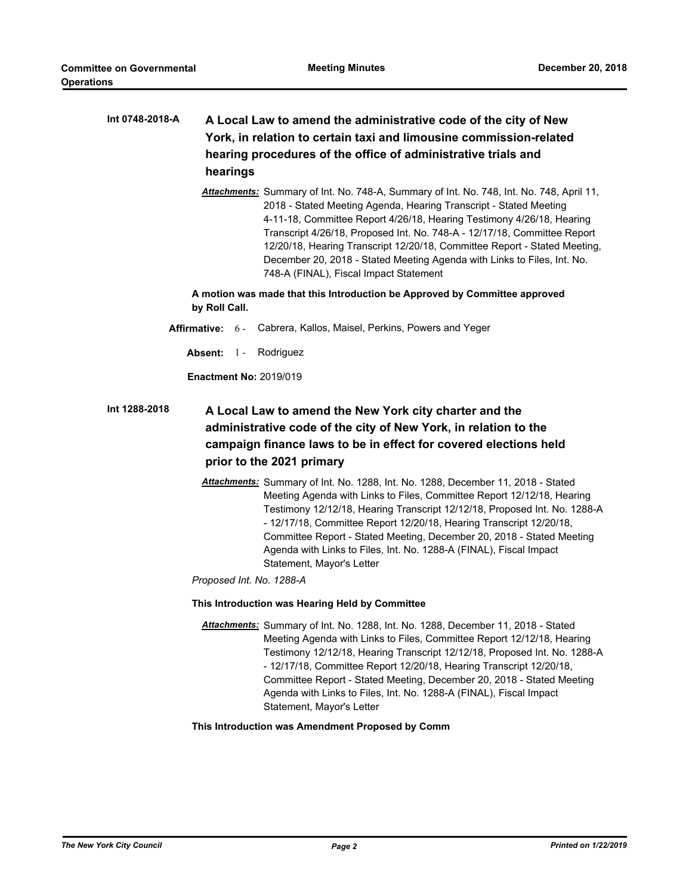| Int 0748-2018-A<br>hearings                                                                                                                                                                                                                 | A Local Law to amend the administrative code of the city of New<br>York, in relation to certain taxi and limousine commission-related<br>hearing procedures of the office of administrative trials and                                                                                                                                                                                                                                                                                                               |  |
|---------------------------------------------------------------------------------------------------------------------------------------------------------------------------------------------------------------------------------------------|----------------------------------------------------------------------------------------------------------------------------------------------------------------------------------------------------------------------------------------------------------------------------------------------------------------------------------------------------------------------------------------------------------------------------------------------------------------------------------------------------------------------|--|
|                                                                                                                                                                                                                                             | Attachments: Summary of Int. No. 748-A, Summary of Int. No. 748, Int. No. 748, April 11,<br>2018 - Stated Meeting Agenda, Hearing Transcript - Stated Meeting<br>4-11-18, Committee Report 4/26/18, Hearing Testimony 4/26/18, Hearing<br>Transcript 4/26/18, Proposed Int. No. 748-A - 12/17/18, Committee Report<br>12/20/18, Hearing Transcript 12/20/18, Committee Report - Stated Meeting,<br>December 20, 2018 - Stated Meeting Agenda with Links to Files, Int. No.<br>748-A (FINAL), Fiscal Impact Statement |  |
| by Roll Call.                                                                                                                                                                                                                               | A motion was made that this Introduction be Approved by Committee approved                                                                                                                                                                                                                                                                                                                                                                                                                                           |  |
| Affirmative: $6 -$                                                                                                                                                                                                                          | Cabrera, Kallos, Maisel, Perkins, Powers and Yeger                                                                                                                                                                                                                                                                                                                                                                                                                                                                   |  |
| Absent: $1 -$                                                                                                                                                                                                                               | Rodriguez                                                                                                                                                                                                                                                                                                                                                                                                                                                                                                            |  |
| <b>Enactment No: 2019/019</b>                                                                                                                                                                                                               |                                                                                                                                                                                                                                                                                                                                                                                                                                                                                                                      |  |
| Int 1288-2018<br>A Local Law to amend the New York city charter and the<br>administrative code of the city of New York, in relation to the<br>campaign finance laws to be in effect for covered elections held<br>prior to the 2021 primary |                                                                                                                                                                                                                                                                                                                                                                                                                                                                                                                      |  |
|                                                                                                                                                                                                                                             | Attachments: Summary of Int. No. 1288, Int. No. 1288, December 11, 2018 - Stated<br>Meeting Agenda with Links to Files, Committee Report 12/12/18, Hearing<br>Testimony 12/12/18, Hearing Transcript 12/12/18, Proposed Int. No. 1288-A<br>- 12/17/18, Committee Report 12/20/18, Hearing Transcript 12/20/18,<br>Committee Report - Stated Meeting, December 20, 2018 - Stated Meeting<br>Agenda with Links to Files, Int. No. 1288-A (FINAL), Fiscal Impact<br>Statement, Mayor's Letter                           |  |
| Proposed Int. No. 1288-A                                                                                                                                                                                                                    |                                                                                                                                                                                                                                                                                                                                                                                                                                                                                                                      |  |
|                                                                                                                                                                                                                                             | This Introduction was Hearing Held by Committee                                                                                                                                                                                                                                                                                                                                                                                                                                                                      |  |
|                                                                                                                                                                                                                                             | Attachments: Summary of Int. No. 1288, Int. No. 1288, December 11, 2018 - Stated<br>Meeting Agenda with Links to Files, Committee Report 12/12/18, Hearing<br>Testimony 12/12/18, Hearing Transcript 12/12/18, Proposed Int. No. 1288-A<br>- 12/17/18, Committee Report 12/20/18, Hearing Transcript 12/20/18,<br>Committee Report - Stated Meeting, December 20, 2018 - Stated Meeting<br>Agenda with Links to Files, Int. No. 1288-A (FINAL), Fiscal Impact<br>Statement, Mayor's Letter                           |  |
|                                                                                                                                                                                                                                             | This Introduction was Amendment Proposed by Comm                                                                                                                                                                                                                                                                                                                                                                                                                                                                     |  |